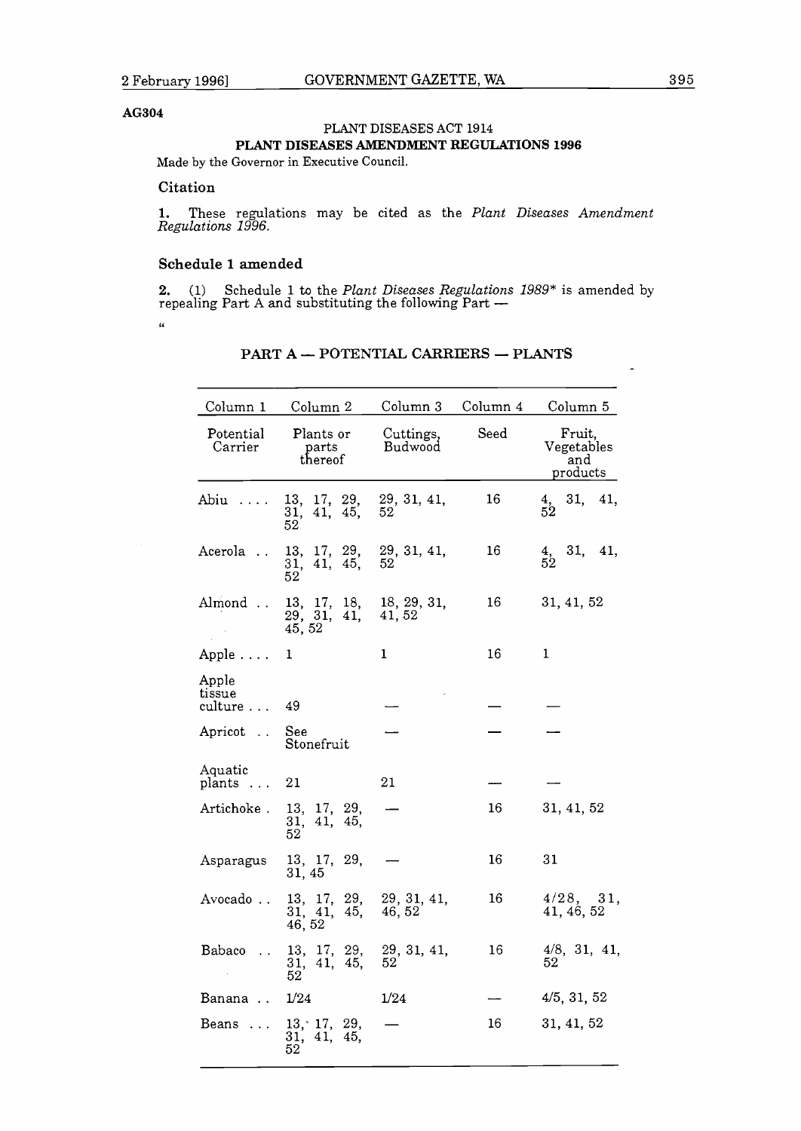#### **AG304**

## PLANT DISEASES ACT **1914 PLANT DISEASES AMENDMENT REGULATIONS 1996**

Made by the Governor in Executive Council.

### **Citation**

1. These regulations may be cited as the *Plant Diseases Amendment Regulations 1996.* 

#### **Schedule 1 amended**

**2.** (1) Schedule 1 to the *Plant Diseases Regulations 1989*<sup>\*</sup> is amended by repealing Part A and substituting the following Part  $-$ <br>"

| Column 1                    | Column 2                                         | Column 3              | Column 4 | Column 5                                |
|-----------------------------|--------------------------------------------------|-----------------------|----------|-----------------------------------------|
| Potential<br>Carrier        | Plants or<br>parts<br>thereof                    | Cuttings,<br>Budwood  | Seed     | Fruit,<br>Vegetables<br>and<br>products |
| Abiu                        | 13,<br>17, 29,<br>41, 45,<br>31,<br>52           | 29, 31, 41,<br>52     | 16       | 31,<br>$\frac{4}{52}$<br>41,            |
| Acerola                     | 13, 17, 29,<br>41, 45,<br>31,<br>52              | 29, 31, 41,<br>52     | 16       | 31, 41,<br>$\frac{4}{52}$               |
| Almond                      | 13, 17, 18, 18, 29, 31,<br>29, 31, 41,<br>45, 52 | 41, 52                | 16       | 31, 41, 52                              |
| Apple                       | 1                                                | $\mathbf{1}$          | 16       | 1                                       |
| Apple<br>tissue<br>culture  | 49                                               |                       |          |                                         |
| Apricot                     | See<br>Stonefruit                                |                       |          |                                         |
| Aquatic<br>plants<br>$\sim$ | 21                                               | 21                    |          |                                         |
| Artichoke .                 | 13, 17,<br>29,<br>41,<br>45.<br>31,<br>52        |                       | 16       | 31, 41, 52                              |
| Asparagus                   | 13, 17,<br>29,<br>31, 45                         |                       | 16       | 31                                      |
| Avocado                     | 13, 17, 29,<br>45,<br>31, 41,<br>46, 52          | 29, 31, 41,<br>46, 52 | 16       | $4/28$ , $31$ ,<br>41, 46, 52           |
| Babaco                      | 13, 17, 29,<br>31, 41, 45,<br>$52^{\circ}$       | 29, 31, 41,<br>52     | 16       | $4/8$ , 31, 41,<br>52                   |
| Banana                      | 1/24                                             | 1/24                  |          | 4/5, 31, 52                             |
| Beans                       | 13, 17, 29,<br>31, 41,<br>45.<br>52.             |                       | 16       | 31, 41, 52                              |

# **PART A - POTENTIAL CARRIERS - PLANTS**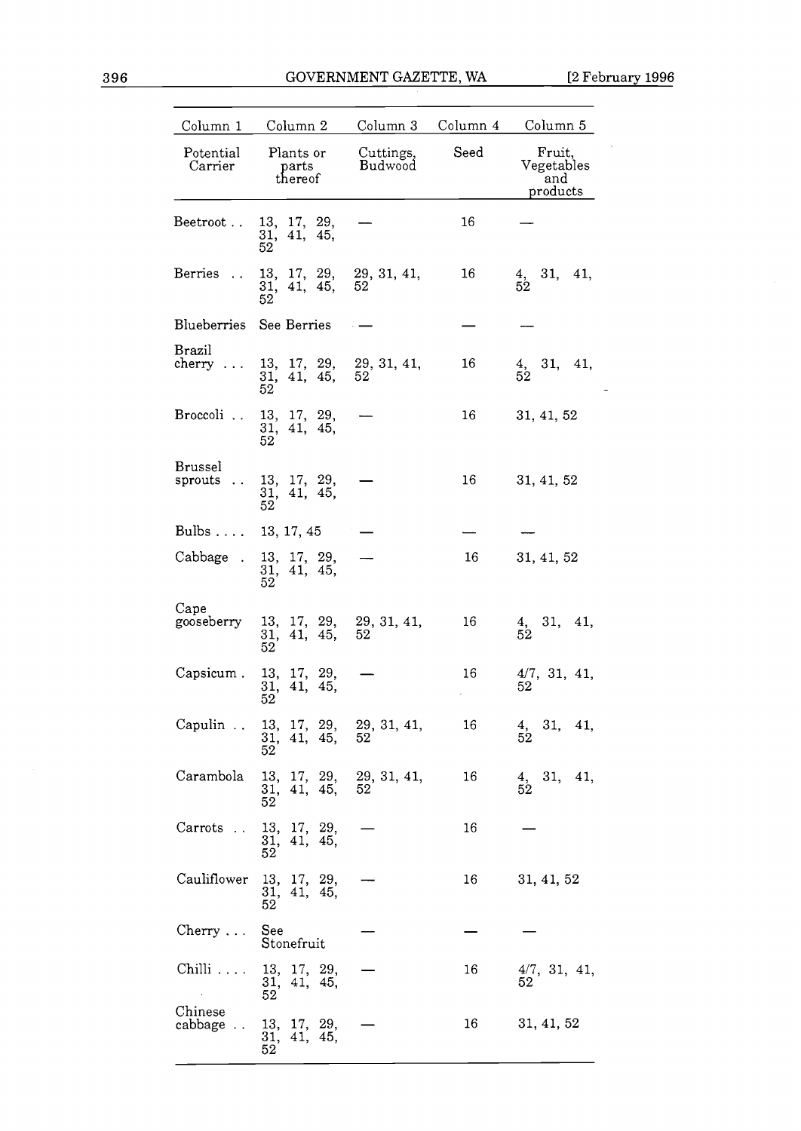$\sim$ 

 $\overline{\phantom{a}}$ 

| Column 1                               | Column 2                                                                                |                      | Column 3 Column 4 Column 5 |                                                          |
|----------------------------------------|-----------------------------------------------------------------------------------------|----------------------|----------------------------|----------------------------------------------------------|
| Potential<br>Carrier                   | Plants or<br>parts<br>thereof                                                           | Cuttings,<br>Budwood | Seed                       | Fruit,<br>Vegetables<br>and<br>products                  |
| Beetroot                               | 13, 17, 29,<br>41, 45,<br>31,<br>52                                                     |                      | 16                         |                                                          |
| Berries<br>$\ddotsc$                   | 13, 17, 29,<br>31, 41, 45,<br>52                                                        | 29, 31, 41,<br>52    | 16                         | 4, 31, 41,<br>52                                         |
| Blueberries See Berries                |                                                                                         |                      |                            |                                                          |
| <b>Brazil</b><br>cherry<br>$\sim$      | 13, 17, 29, 29, 31, 41,<br>31, 41, 45,<br>52                                            | 52                   | 16                         | $\begin{array}{cc} 4, & 31, & 41, \\ 52 & & \end{array}$ |
| Broccoli                               | 13, 17, 29,<br>31, 41, 45,<br>52                                                        |                      | 16                         | 31, 41, 52                                               |
| <b>Brussel</b><br>sprouts<br>$\ddotsc$ | 13, 17, 29,<br>31, 41, 45,<br>52                                                        |                      | 16                         | 31, 41, 52                                               |
| Bulbs 13, 17, 45                       |                                                                                         |                      |                            |                                                          |
| Cabbage.                               | 13, 17, 29,<br>31, 41, 45,<br>52                                                        |                      | 16                         | 31, 41, 52                                               |
| Cape<br>gooseberry                     | $\begin{array}{cc} 13, & 17, & 29, \\ 31, & 41, & 45, \end{array}$<br>31, 41, 45,<br>52 | 29, 31, 41,<br>52    | 16                         | $\frac{4}{52}$ , 31, 41,                                 |
| Capsicum.                              | 13, 17, 29,<br>41,<br>45.<br>31,<br>52                                                  |                      | 16                         | 4/7, 31, 41,<br>52                                       |
| Capulin                                | 13, 17, 29,<br>31, 41, 45,<br>52                                                        | 29, 31, 41,<br>52    | 16                         | 31, 41,<br>$\frac{4}{52}$                                |
| Carambola                              | 13, 17, 29,<br>31, 41, 45,<br>52                                                        | 29, 31, 41,<br>52    | 16                         | $\frac{4}{52}$ , 31, 41,                                 |
| Carrots                                | 13, 17, 29,<br>31, 41, 45,<br>52                                                        |                      | 16                         |                                                          |
| Cauliflower                            | 13, 17, 29,<br>31, 41, 45,<br>52                                                        |                      | 16                         | 31, 41, 52                                               |
| $Cherry \ldots$                        | See<br>Stonefruit                                                                       |                      |                            |                                                          |
| $\hbox{Chilli} \ldots$                 | 13, 17, 29,<br>31, 41, 45,<br>52                                                        |                      | 16                         | 4/7, 31, 41,<br>52                                       |
| Chinese<br>cabbage                     | 13, 17, 29,<br>31, 41, 45,<br>52                                                        |                      | 16                         | 31, 41, 52                                               |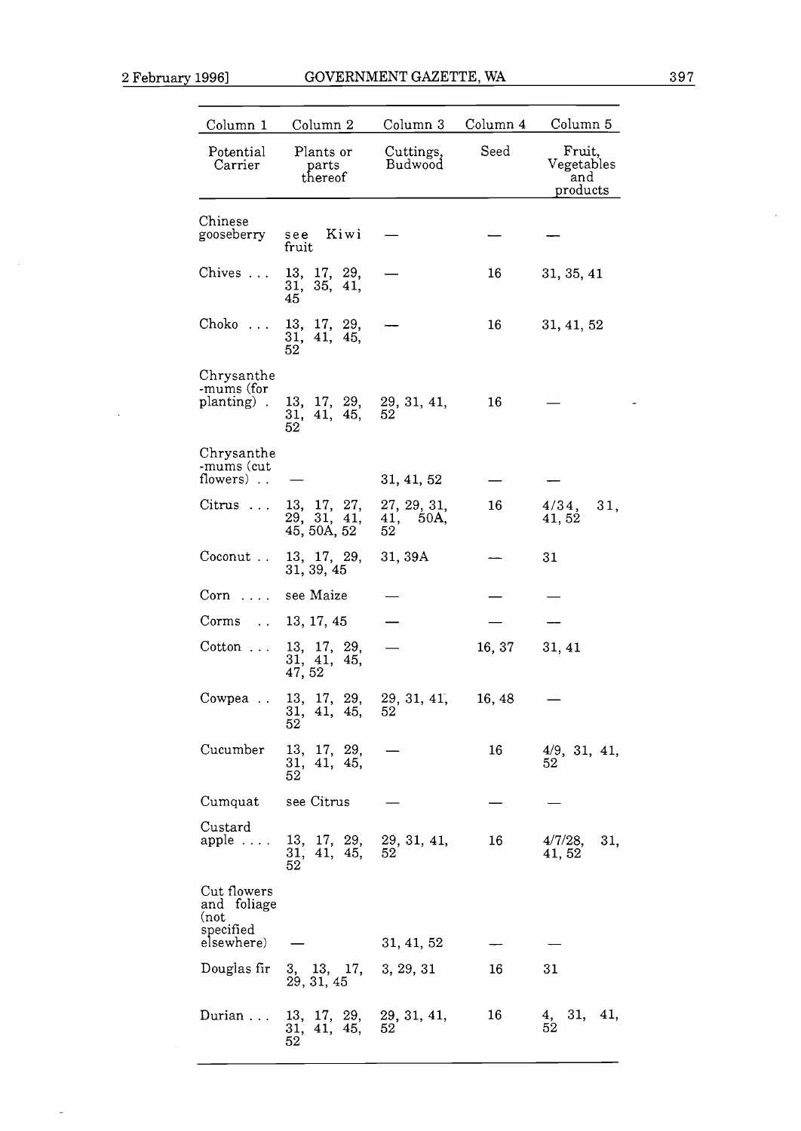$\bar{\lambda}$ 

 $\overline{a}$ 

 $\hat{\boldsymbol{\beta}}$ 

| Column 1                                                      | Column 2                               | Column 3                      | Column 4 | Column 5                                |
|---------------------------------------------------------------|----------------------------------------|-------------------------------|----------|-----------------------------------------|
| Potential<br>Carrier                                          | Plants or<br>parts<br>thereof          | Cuttings,<br>Budwood          | Seed     | Fruit,<br>Vegetables<br>and<br>products |
|                                                               |                                        |                               |          |                                         |
| Chinese<br>gooseberry                                         | Kiwi<br>see<br>fruit                   |                               |          |                                         |
| Chives                                                        | 13, 17, 29,<br>31, 35, 41,<br>45       |                               | 16       | 31, 35, 41                              |
| $Choko$                                                       | 13, 17, 29,<br>31, 41, 45,<br>52       |                               | 16       | 31, 41, 52                              |
| Chrysanthe<br>-mums (for<br>planting).                        | 13, 17, 29,<br>41, 45,<br>31,<br>52    | 29, 31, 41,<br>52             | 16       |                                         |
| Chrysanthe<br>-mums (cut<br>flowers)                          |                                        | 31, 41, 52                    |          |                                         |
| $Citrus$                                                      | 13, 17, 27, 29, 31, 41,<br>45, 50A, 52 | 27, 29, 31,<br>41, 50A,<br>52 | 16       | 4/34,<br>31,<br>41, 52                  |
| Coconut                                                       | 13, 17, 29,<br>31, 39, 45              | 31, 39A                       |          | 31                                      |
| $Corn \ldots$                                                 | see Maize                              |                               |          |                                         |
| Corms                                                         | 13, 17, 45                             |                               |          |                                         |
| $Cotton \dots$                                                | 13, 17, 29,<br>31, 41, 45,<br>47, 52   |                               | 16, 37   | 31, 41                                  |
| Cowpea<br>$\sim 10$                                           | 13, 17,<br>29,<br>31, 41, 45,<br>52    | 29, 31, 41,<br>52             | 16, 48   |                                         |
| Cucumber                                                      | 13, 17, 29,<br>31, 41, 45,<br>52       |                               | 16       | 4/9, 31, 41,<br>52                      |
| Cumquat                                                       | see Citrus                             |                               |          |                                         |
| Custard<br>$apple \ldots$ .                                   | 13, 17, 29,<br>31, 41, 45,<br>52       | 29, 31, 41,<br>52             | 16       | $4/7/28$ ,<br>31,<br>41, 52             |
| Cut flowers<br>and foliage<br>(not<br>specified<br>elsewhere) |                                        | 31, 41, 52                    |          |                                         |
| Douglas fir                                                   | 3, 13, 17,<br>29, 31, 45               | 3, 29, 31                     | 16       | 31                                      |
| Durian                                                        | 13, 17, 29,<br>31,<br>41, 45,<br>52    | 29, 31, 41,<br>52             | 16       | 31, 41,<br>4,<br>$52\,$                 |

j.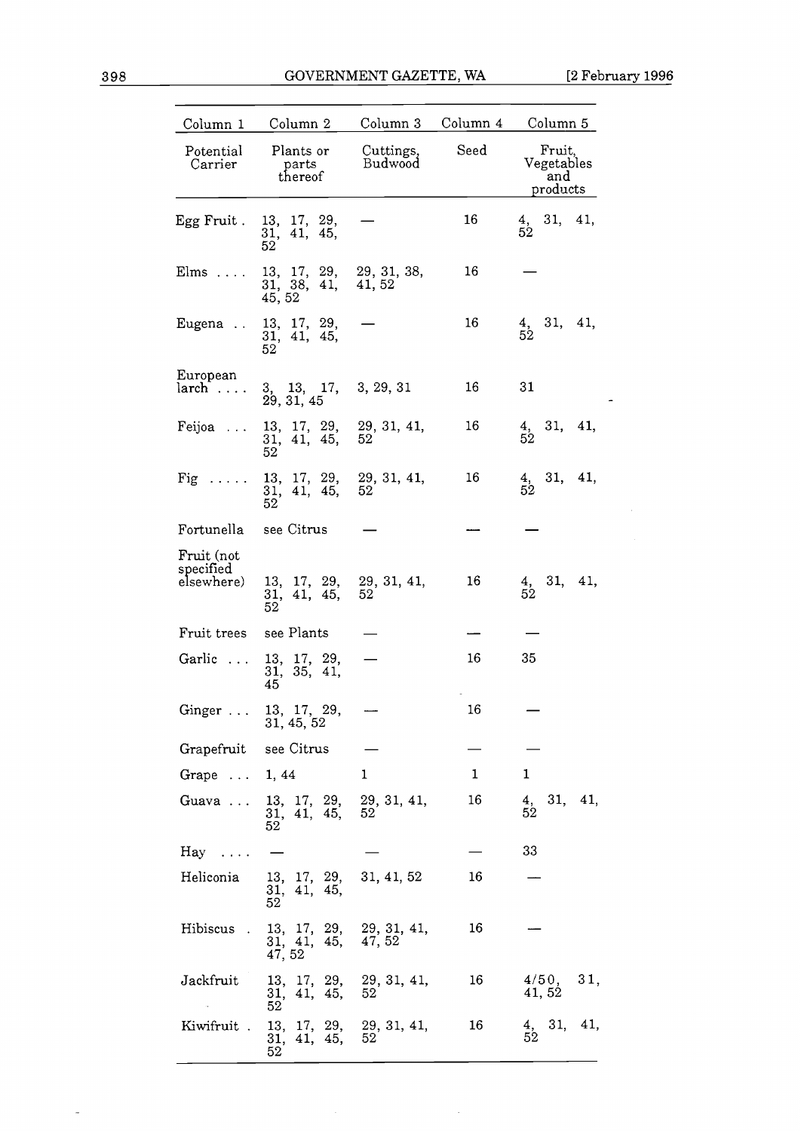$\bar{\mathcal{L}}$ 

| Column 1                              | Column 2                                                                                   | Column 3             | Column 4     | Column 5                                                 |
|---------------------------------------|--------------------------------------------------------------------------------------------|----------------------|--------------|----------------------------------------------------------|
| Potential<br>Carrier                  | Plants or<br>parts<br>thereof                                                              | Cuttings,<br>Budwood | Seed         | Fruit,<br>Vegetables<br>and<br>products                  |
| Egg Fruit .                           | 13, 17, 29,<br>$\begin{array}{cc} 31, & 41, & 45, \\ 52 \end{array}$                       |                      | 16           | 4, 31, 41,<br>52                                         |
| $Elms$                                | $13, 17, 29, 29, 31, 38,$ $31, 38, 41, 41, 52$<br>45, 52                                   |                      | 16           |                                                          |
|                                       | Eugena . 13, 17, 29,<br>31, 41, 45,<br>52                                                  |                      | 16           | $\begin{array}{cc} 4, & 31, & 41, \\ 52 & & \end{array}$ |
| European<br>$larch \dots$             | 3, 13, 17, 3, 29, 31<br>29, 31, 45                                                         |                      | 16           | 31                                                       |
| Feijoa                                | 13, 17, 29,<br>31, 41, 45,<br>52                                                           | 29, 31, 41,<br>52    | 16           | $\begin{array}{cc} 4, & 31, & 41, \\ 52 & & \end{array}$ |
| Fig                                   | 13, 17, 29,<br>31, 41, 45,<br>52                                                           | 29, 31, 41,<br>52    | 16           | $\begin{array}{cc} 4, & 31, & 41, \\ 52 & & \end{array}$ |
| Fortunella see Citrus                 |                                                                                            |                      |              |                                                          |
| Fruit (not<br>specified<br>elsewhere) | 13, 17, 29, 29, 31, 41,<br>31, 41, 45.<br>52                                               | 52                   | 16           | $\begin{array}{cc} 4, & 31, & 41, \\ 52 & & \end{array}$ |
| Fruit trees                           | see Plants                                                                                 |                      |              |                                                          |
| Garlic                                | 13, 17, 29,<br>31, 35, 41,<br>45                                                           |                      | 16           | 35                                                       |
| Ginger                                | 13, 17, 29,<br>31, 45, 52                                                                  |                      | 16           |                                                          |
| Grapefruit see Citrus                 |                                                                                            |                      |              |                                                          |
| Grape $\ldots$ 1, 44                  |                                                                                            | 1                    | $\mathbf{1}$ | 1                                                        |
|                                       | Guava  13, 17, 29, 29, 31, 41,<br>31, 41, 45,<br>52                                        | 52                   | 16           | 4, 31, 41,<br>52                                         |
| $\text{Hay} \dots$                    |                                                                                            |                      |              | 33                                                       |
| Heliconia                             | 13, 17, 29, 31, 41, 52<br>31, 41, 45,<br>52                                                |                      | 16           |                                                          |
| Hibiscus .                            | 13, 17, 29, 29, 31, 41,<br>31, 41, 45, 47, 52<br>47, 52                                    |                      | 16           |                                                          |
| Jackfruit                             | $\begin{array}{cccc} 13,& 17,& 29,& 29, \ 31, \ 41,\\ 31,& 41,& 45,& 52 \end{array}$<br>52 |                      | 16           | 4/50, 31,<br>41, 52                                      |
| Kiwifruit.                            | 13, 17, 29, 29, 31, 41,<br>31, 41, 45, 52<br>52                                            |                      | 16           | $\begin{array}{cc} 4, & 31, & 41, \\ 52 & & \end{array}$ |

 $\sim$ 

 $\ddot{\phantom{a}}$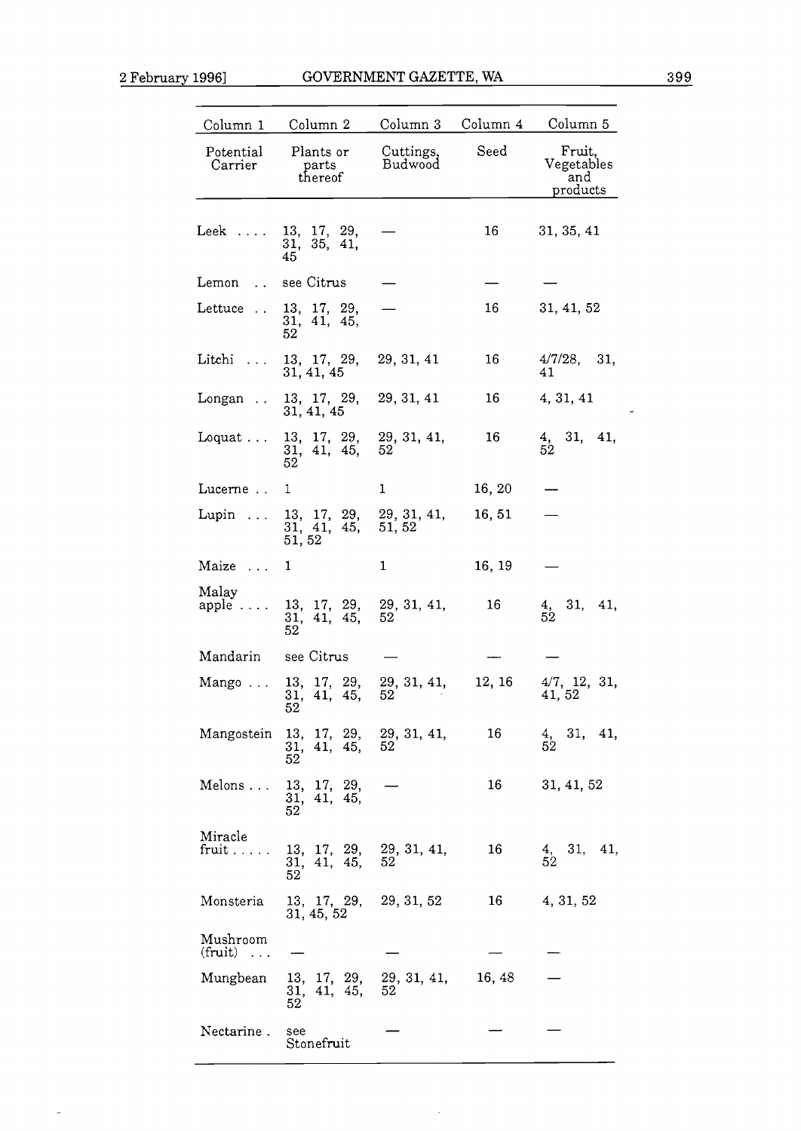$\overline{\phantom{a}}$ 

| Column 1                                    | Column 2                                            | Column 3             | Column 4 | Column 5                                |
|---------------------------------------------|-----------------------------------------------------|----------------------|----------|-----------------------------------------|
| Potential<br>Carrier                        | Plants or<br>parts<br>thereof                       | Cuttings,<br>Budwood | Seed     | Fruit,<br>Vegetables<br>and<br>products |
| $Leek$                                      | 13, 17, 29,<br>31, 35, 41,<br>45                    |                      | 16       | 31, 35, 41                              |
| Lemon<br>$\ddot{\phantom{a}}$               | see Citrus                                          |                      |          |                                         |
| Lettuce<br>$\sim 10$                        | 13, 17, 29,<br>31, 41, 45,<br>52                    |                      | 16       | 31, 41, 52                              |
| Litchi                                      | 13, 17, 29,<br>31, 41, 45                           | 29, 31, 41           | 16       | 4/7/28,<br>31,<br>41                    |
| Longan                                      | 13, 17, 29,<br>31, 41, 45                           | 29, 31, 41           | 16       | 4, 31, 41                               |
| Loquat $\ldots$                             | 13, 17, 29,<br>31, 41, 45,<br>52                    | 29, 31, 41,<br>52    | 16       | 31, 41,<br>4,<br>52                     |
| Lucerne                                     | 1                                                   | 1                    | 16, 20   |                                         |
| Lupin $\ldots$                              | 13, 17, 29, 29, 31, 41,<br>31, 41, 45,<br>51,52     | 51, 52               | 16, 51   |                                         |
| Maize                                       | 1                                                   | 1                    | 16, 19   |                                         |
| Malay<br>apple                              | 13, 17, 29,<br>41, 45,<br>31,<br>52                 | 29, 31, 41,<br>52    | 16       | 31, 41,<br>$\frac{4}{52}$               |
| Mandarin                                    | see Citrus                                          |                      |          |                                         |
| Mango                                       | 13, 17, 29,<br>41, 45,<br>31,<br>52                 | 29, 31, 41,<br>52    | 12, 16   | $4/7$ , 12, 31,<br>41, 52               |
| Mangostein                                  | 13, 17, 29,<br>31, 41, 45,<br>52                    | 29, 31, 41,<br>52    | 16       | 31, 41,<br>$\frac{4}{52}$               |
| Melons                                      | 13, 17, 29,<br>31, 41, 45,<br>52                    |                      | 16       | 31, 41, 52                              |
| Miracle<br>fruit                            | $13, 17, 29, 29, 31, 41,$<br>$31, 41, 45, 52$<br>52 |                      | 16       | $\frac{4}{52}$ , 31, 41,                |
| Monsteria                                   | 13, 17, 29, 29, 31, 52<br>31, 45, 52                |                      | 16       | 4, 31, 52                               |
| Mushroom<br>(fruit)<br>$\sim$ $\sim$ $\sim$ |                                                     |                      |          |                                         |
| Mungbean                                    | 13, 17, 29,<br>31, 41, 45,<br>52                    | 29, 31, 41,<br>52    | 16, 48   |                                         |
| Nectarine.                                  | see<br>Stonefruit                                   |                      |          |                                         |

 $\hat{\mathcal{A}}$ 

 $\frac{1}{\sqrt{2}}$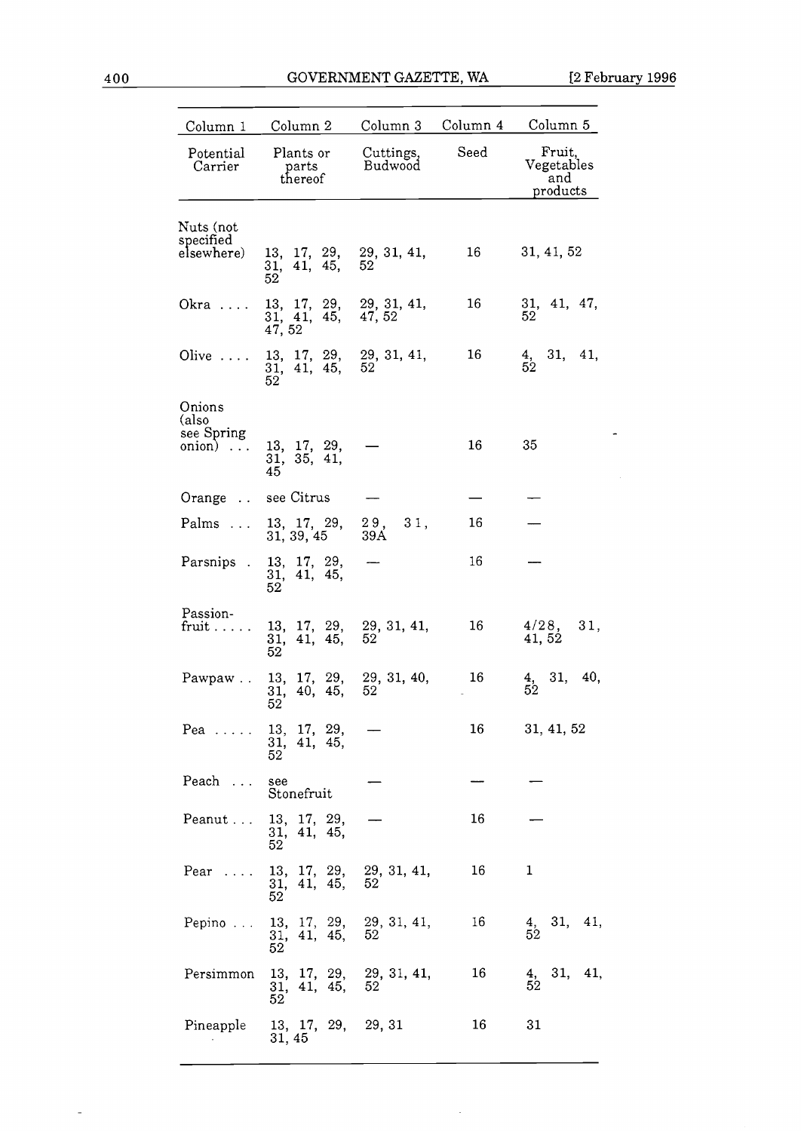$\omega$ 

| Column 1                                        | Column 2                                                                     | Column 3             | Column 4 | Column 5                                |
|-------------------------------------------------|------------------------------------------------------------------------------|----------------------|----------|-----------------------------------------|
| Potential<br>Carrier                            | Plants or<br>parts<br>thereof                                                | Cuttings,<br>Budwood | Seed     | Fruit,<br>Vegetables<br>and<br>products |
| Nuts (not<br>specified<br>elsewhere)            | 13, 17, 29, 29, 31, 41,<br>41, 45,<br>31,<br>52                              | 52                   | 16       | 31, 41, 52                              |
| Okra                                            | 13, 17, 29, 29, 31, 41, 31, 41, 45, 47, 52<br>47, 52                         |                      | 16       | 31, 41, 47,<br>52                       |
| Olive $\ldots$ .                                | 13, 17, 29, 29, 31, 41,<br>31, 41, 45,<br>52                                 | 52                   | 16       | 31, 41,<br>$\frac{4}{52}$               |
| Onions<br>(also<br>see Spring<br>$onion) \dots$ | 13, 17, 29,<br>31, 35, 41,<br>45                                             |                      | 16       | 35                                      |
| Orange                                          | see Citrus                                                                   |                      |          |                                         |
| Palms                                           | 13, 17, 29,<br>31, 39, 45                                                    | 29, 31,<br>39A       | 16       |                                         |
| Parsnips.                                       | 13, 17, 29,<br>31, 41, 45,<br>52.                                            |                      | 16       |                                         |
| Passion-<br>fruit $\ldots$ .                    | 13, 17, 29,<br>31, 41, 45,<br>52                                             | 29, 31, 41,<br>52    | 16       | 4/28,<br>31,<br>41, 52                  |
| Pawpaw                                          | 13, 17, 29,<br>31, 40, 45,<br>52                                             | 29, 31, 40,<br>52    | 16       | 31,<br>40,<br>$\frac{4}{52}$            |
| $Pea$                                           | 13, 17, 29,<br>31, 41, 45,<br>52                                             |                      | 16       | 31, 41, 52                              |
| Peach                                           | see<br>Stonefruit                                                            |                      |          |                                         |
| Peanut                                          | 13, 17, 29,<br>31, 41, 45,<br>52                                             |                      | 16       |                                         |
| $Pear \dots$                                    | 13, 17, 29, 29, 31, 41, 31, 41, 45, 52<br>52                                 |                      | 16       | $\mathbf{1}$                            |
| Pepino                                          | 13, 17, 29, 29, 31, 41,<br>$\begin{array}{cc} 31, 41, 45, \\ 52 \end{array}$ | 52                   | 16       | 31, 41,<br>$\frac{4}{52}$               |
| Persimmon                                       | 13, 17, 29, 29, 31, 41, $\frac{31}{1}$ , 41, 45, 52<br>52                    |                      | 16       | 31, 41,<br>$\frac{4}{52}$               |
| Pineapple                                       | 13, 17, 29, 29, 31<br>31, 45                                                 |                      | 16       | 31                                      |

 $\bar{\beta}$ 

 $\mathbb{L}$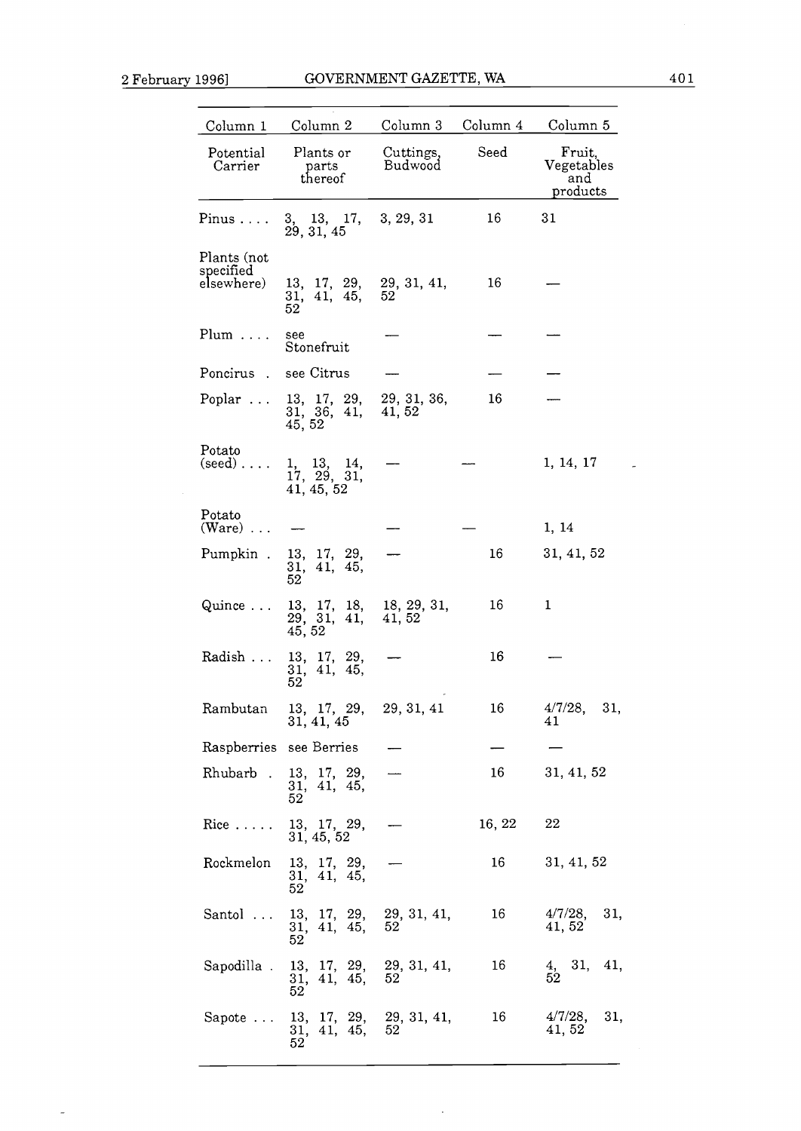$\bar{\mathcal{L}}$ 

| Column 1                  | Column 2                                        | Column 3              | Column 4 | Column 5                                |
|---------------------------|-------------------------------------------------|-----------------------|----------|-----------------------------------------|
| Potential<br>Carrier      | Plants or<br>parts<br>thereof.                  | Cuttings,<br>Budwood  | Seed     | Fruit,<br>Vegetables<br>and<br>products |
| Pinus                     | 3, 13, 17,<br>29, 31, 45                        | 3, 29, 31             | 16       | 31                                      |
| Plants (not               |                                                 |                       |          |                                         |
| specified<br>elsewhere)   | 13, 17, 29, 29, 31, 41,<br>31, 41, 45,<br>52    | 52                    | 16       |                                         |
| $Plum \ldots$ .           | see<br>Stonefruit                               |                       |          |                                         |
| Poncirus.                 | see Citrus                                      |                       |          |                                         |
| Poplar $\dots$            | 13, 17, 29,<br>31, 36,<br>41,<br>45, 52         | 29, 31, 36,<br>41, 52 | 16       |                                         |
| Potato<br>$(seed) \ldots$ | 1, 13, 14,<br>17, 29, 31,<br>41, 45, 52         |                       |          | 1, 14, 17                               |
| Potato<br>$(Ware) \dots$  |                                                 |                       |          | 1, 14                                   |
| Pumpkin.                  | 13, 17, 29,<br>41, 45,<br>31,<br>52             |                       | 16       | 31, 41, 52                              |
| Quince                    | $13, 17, 18,$<br>29, 31, 41,<br>45, 52          | 18, 29, 31,<br>41, 52 | 16       | 1                                       |
| Radish                    | 13, 17, 29,<br>41, 45,<br>31,<br>52             |                       | 16       |                                         |
| Rambutan                  | $13, 17, 29,$<br>$31, 41, 45$                   | 29, 31, 41            | 16       | $4/7/28$ ,<br>31,<br>41                 |
|                           | Raspberries see Berries                         |                       |          |                                         |
|                           | Rhubarb . 13, 17, 29,<br>31, 41, 45,<br>52      |                       | 16       | 31, 41, 52                              |
| $Rice \ldots$ .           | 13, 17, 29,<br>31, 45, 52                       |                       | 16, 22   | 22                                      |
| Rockmelon                 | 13, 17, 29,<br>31, 41, 45,<br>52                |                       | 16       | 31, 41, 52                              |
| Santol                    | 13, 17, 29, 29, 31, 41,<br>31, 41, 45,<br>52    | 52                    | 16       | 31,<br>$4/7/28$ ,<br>41, 52             |
| Sapodilla .               | 13, 17, 29, 29, 31, 41,<br>41, 45,<br>31,<br>52 | 52                    | 16       | $\frac{4}{52}$ 31,<br>41,               |
| Sapote                    | 13, 17, 29,<br>31, 41, 45,<br>52                | 29, 31, 41,<br>52     | 16       | 4/7/28,<br>31,<br>41, 52                |

 $\bar{\beta}$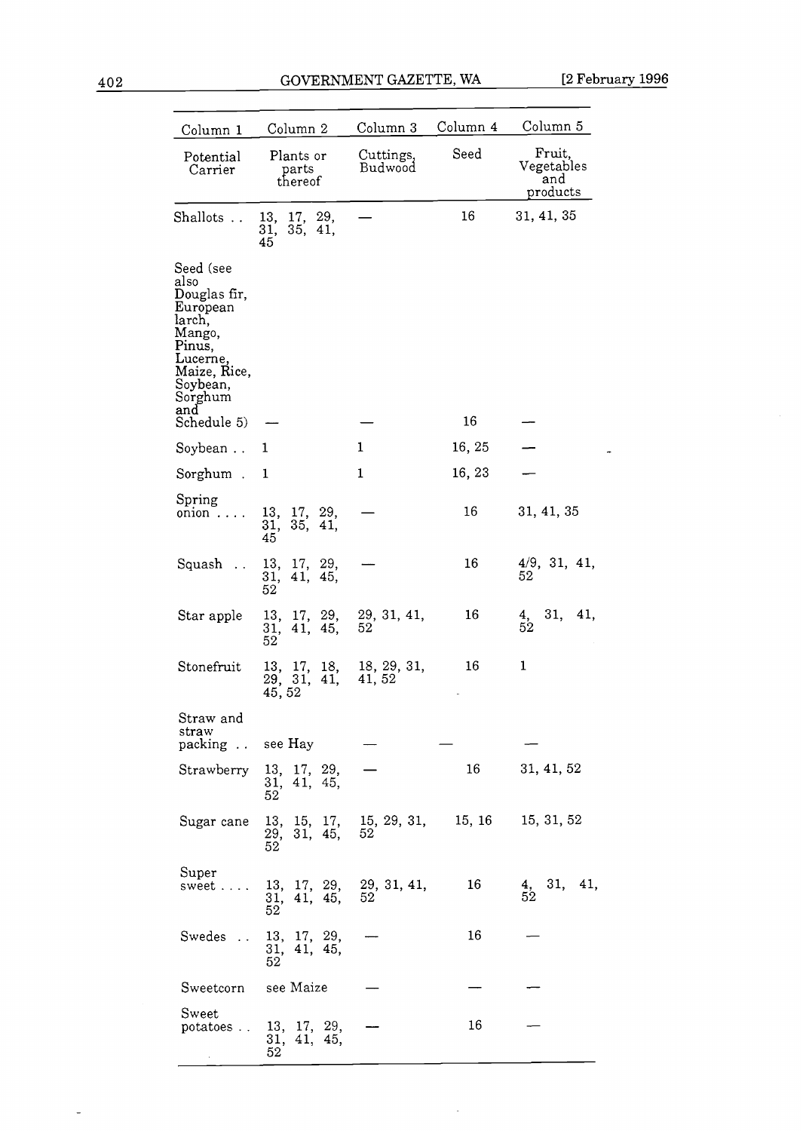$\overline{a}$ 

| Column 1                                                                                                                                             | Column 2                                     | Column 3                                            | Column 4 | Column 5                                |
|------------------------------------------------------------------------------------------------------------------------------------------------------|----------------------------------------------|-----------------------------------------------------|----------|-----------------------------------------|
| Potential<br>Carrier                                                                                                                                 | Plants or<br>parts<br>thereof                | Cuttings,<br>Budwood                                | Seed     | Fruit,<br>Vegetables<br>and<br>products |
| Shallots                                                                                                                                             | 13, 17, 29,<br>35,<br>31,<br>41.<br>45       |                                                     | 16       | 31, 41, 35                              |
| Seed (see<br>also<br>Douglas fir,<br>European<br>larch,<br>Mango,<br>Pinus,<br>Lucerne,<br>Maize, Rice,<br>Soybean,<br>Sorghum<br>and<br>Schedule 5) |                                              |                                                     | 16       |                                         |
| Soybean                                                                                                                                              | 1                                            | $\mathbf{1}$                                        | 16, 25   |                                         |
| Sorghum.                                                                                                                                             | 1                                            | 1                                                   | 16, 23   |                                         |
| Spring<br>$onion \ldots$                                                                                                                             | 13, 17, 29,<br>35,<br>$\frac{31}{45}$<br>41. |                                                     | 16       | 31, 41, 35                              |
| Squash                                                                                                                                               | 13, 17, 29,<br>31,<br>41, 45,<br>52          |                                                     | 16       | 4/9, 31, 41,<br>52                      |
| Star apple                                                                                                                                           | 13, 17, 29,<br>41, 45,<br>31,<br>52          | 29, 31, 41,<br>52                                   | 16       | 31,<br>41,<br>$\frac{4}{52}$            |
| Stonefruit                                                                                                                                           | 13, 17, 18,<br>29, 31, 41,<br>45, 52         | 18, 29, 31,<br>41, 52                               | 16       | 1                                       |
| Straw and<br>straw<br>packing                                                                                                                        | see Hay                                      |                                                     |          |                                         |
| Strawberry                                                                                                                                           | 13, 17, 29,<br>31, 41, 45,<br>52             |                                                     | 16       | 31, 41, 52                              |
| Sugar cane                                                                                                                                           | 13, 15, 17,<br>29, 31, 45,<br>52             | 15, 29, 31,<br>52                                   | 15, 16   | 15, 31, 52                              |
| Super<br>sweet                                                                                                                                       | 31, 41, 45,<br>52                            | $13, 17, 29, 29, 31, 41,$<br>$31, 41, 45, 52$<br>52 | 16       | $\frac{4}{52}$ 31,<br>41,               |
| Swedes                                                                                                                                               | 13, 17, 29,<br>31, 41, 45,<br>52             |                                                     | 16       |                                         |
| Sweetcorn                                                                                                                                            | see Maize                                    |                                                     |          |                                         |
| Sweet<br>potatoes                                                                                                                                    | 13, 17, 29,<br>31, 41, 45,<br>52             |                                                     | 16       |                                         |

 $\mathcal{L}$ 

 $\overline{\phantom{a}}$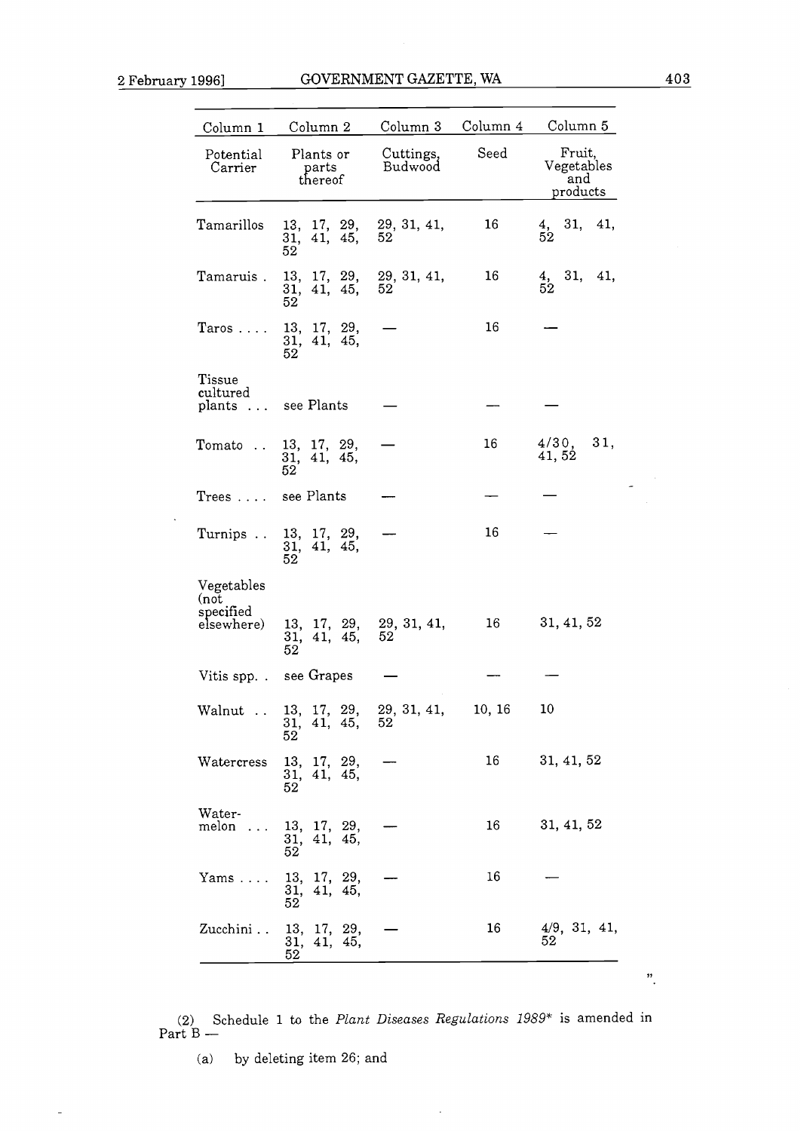| Column 1                               | Column 2                            | Column 3             | Column 4 | Column 5                                |
|----------------------------------------|-------------------------------------|----------------------|----------|-----------------------------------------|
| Potential<br>Carrier                   | Plants or<br>parts<br>thereof       | Cuttings,<br>Budwood | Seed     | Fruit,<br>Vegetables<br>and<br>products |
| Tamarillos                             | 13, 17, 29,<br>41, 45,<br>31,<br>52 | 29, 31, 41,<br>52    | 16       | 31,<br>41,<br>$\frac{4}{52}$            |
| Tamaruis .                             | 13, 17, 29,<br>31, 41, 45,<br>52    | 29, 31, 41,<br>52    | 16       | $\frac{4}{52}$ , 31, 41,                |
| $Taros \ldots$                         | 13, 17, 29,<br>31, 41, 45,<br>52    |                      | 16       |                                         |
| Tissue<br>cultured<br>plants<br>$\sim$ | see Plants                          |                      |          |                                         |
| Tomato<br>$\ddot{\phantom{a}}$         | 13, 17, 29,<br>31, 41, 45,<br>52    |                      | 16       | 4/30,<br>31,<br>41,52                   |
| Trees  see Plants                      |                                     |                      |          |                                         |
| Turnips                                | 13, 17, 29,<br>41, 45,<br>31,<br>52 |                      | 16       |                                         |
| Vegetables<br>(not                     |                                     |                      |          |                                         |
| specified<br>elsewhere)                | 13, 17, 29,<br>41, 45,<br>31,<br>52 | 29, 31, 41,<br>52    | 16       | 31, 41, 52                              |
|                                        | Vitis spp. . see Grapes             |                      |          |                                         |
| Walnut                                 | $13, 17, 29,$<br>31, 41, 45,<br>52  | 29, 31, 41,<br>52    | 10, 16   | 10                                      |
| Watercress                             | 13, 17, 29,<br>41, 45,<br>31,<br>52 |                      | 16       | 31, 41, 52                              |
| Water-<br>melon                        | 13, 17, 29,<br>31, 41, 45,<br>52    |                      | 16       | 31, 41, 52                              |
| $Yams \dots$ .                         | 13, 17, 29,<br>31, 41, 45,<br>52    |                      | 16       |                                         |
| Zucchini                               | 13, 17, 29,<br>31, 41, 45,<br>52    |                      | 16       | 4/9, 31, 41,<br>52                      |
|                                        |                                     |                      |          |                                         |

(2) Schedule 1 to the *Plant Diseases Regulations 1989*<sup>\*</sup> is amended in Part B –

 $\ddot{\phantom{a}}$ 

(a) by deleting item 26; and

 $\overline{a}$ 

 $\hat{\mathbf{r}}$ 

 $\ddot{\phantom{0}}$